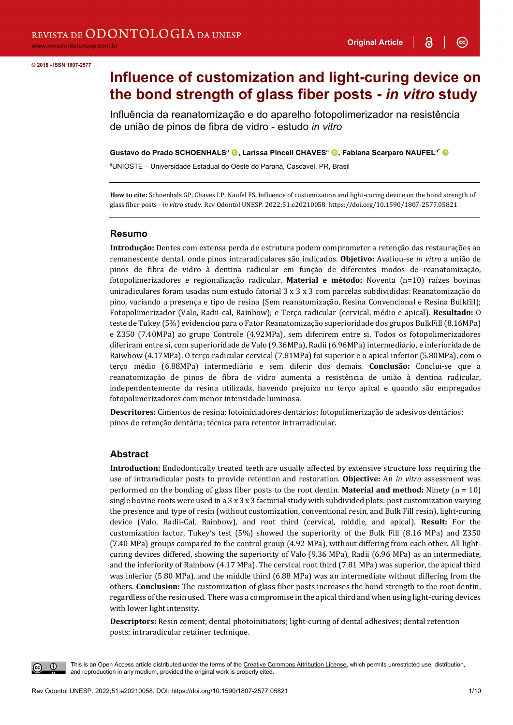3

 $\odot$ 

#### **© 2018 - ISSN 1807-2577**

# **Influence of customization and light-curing device on the bond strength of glass fiber posts -** *in vitro* **study**

Influência da reanatomização e do aparelho fotopolimerizador na resistência de união de pinos de fibra de vidro - estudo *in vitro*

Gustavo do Prado SCHOENHALS<sup>a</sup> **.** Larissa Pinceli CHAVES<sup>a</sup> . Fabiana Scarparo NAUFEL<sup>a\*</sup> <sup>1</sup>

a UNIOSTE – Universidade Estadual do Oeste do Paraná, Cascavel, PR, Brasil

**How to cite:** Schoenhals GP, Chaves LP, Naufel FS. Influence of customization and light-curing device on the bond strength of glass fiber posts - *in vitro* study. Rev Odontol UNESP. 2022;51:e20210058. https://doi.org/10.1590/1807-2577.05821

#### **Resumo**

**Introdução:** Dentes com extensa perda de estrutura podem comprometer a retenção das restaurações ao remanescente dental, onde pinos intraradiculares são indicados. **Objetivo:** Avaliou-se *in vitro* a união de pinos de fibra de vidro à dentina radicular em função de diferentes modos de reanatomização, fotopolimerizadores e regionalização radicular. **Material e método:** Noventa (n=10) raízes bovinas uniradiculares foram usadas num estudo fatorial 3 x 3 x 3 com parcelas subdivididas: Reanatomização do pino, variando a presença e tipo de resina (Sem reanatomização, Resina Convencional e Resina Bulkfill); Fotopolimerizador (Valo, Radii-cal, Rainbow); e Terço radicular (cervical, médio e apical). **Resultado:** O teste de Tukey (5%) evidenciou para o Fator Reanatomização superioridade dos grupos BulkFill (8.16MPa) e Z350 (7.40MPa) ao grupo Controle (4.92MPa), sem diferirem entre si. Todos os fotopolimerizadores diferiram entre si, com superioridade de Valo (9.36MPa), Radii (6.96MPa) intermediário, e inferioridade de Raiwbow (4.17MPa). O terço radicular cervical (7.81MPa) foi superior e o apical inferior (5.80MPa), com o terço médio (6.88MPa) intermediário e sem diferir dos demais. **Conclusão:** Conclui-se que a reanatomização de pinos de fibra de vidro aumenta a resistência de união à dentina radicular, independentemente da resina utilizada, havendo prejuízo no terço apical e quando são empregados fotopolimerizadores com menor intensidade luminosa.

**Descritores:** Cimentos de resina; fotoiniciadores dentários; fotopolimerização de adesivos dentários; pinos de retenção dentária; técnica para retentor intrarradicular.

#### **Abstract**

**Introduction:** Endodontically treated teeth are usually affected by extensive structure loss requiring the use of intraradicular posts to provide retention and restoration. **Objective:** An *in vitro* assessment was performed on the bonding of glass fiber posts to the root dentin. **Material and method:** Ninety (n = 10) single bovine roots were used in a 3 x 3 x 3 factorial study with subdivided plots: post customization varying the presence and type of resin (without customization, conventional resin, and Bulk Fill resin), light-curing device (Valo, Radii-Cal, Rainbow), and root third (cervical, middle, and apical). **Result:** For the customization factor, Tukey's test (5%) showed the superiority of the Bulk Fill (8.16 MPa) and Z350 (7.40 MPa) groups compared to the control group (4.92 MPa), without differing from each other. All lightcuring devices differed, showing the superiority of Valo (9.36 MPa), Radii (6.96 MPa) as an intermediate, and the inferiority of Rainbow (4.17 MPa). The cervical root third (7.81 MPa) was superior, the apical third was inferior (5.80 MPa), and the middle third (6.88 MPa) was an intermediate without differing from the others. **Conclusion:** The customization of glass fiber posts increases the bond strength to the root dentin, regardless of the resin used. There was a compromise in the apical third and when using light-curing devices with lower light intensity.

**Descriptors:** Resin cement; dental photoinitiators; light-curing of dental adhesives; dental retention posts; intraradicular retainer technique.

This is an Open Access article distributed under the terms of the Creative Commons Attribution License, which permits unrestricted use, distribution, and reproduction in any medium, provided the original work is properly cited.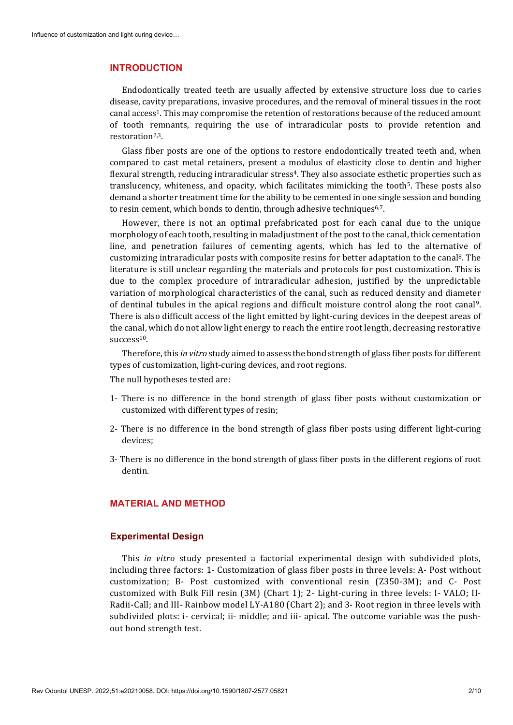#### **INTRODUCTION**

Endodontically treated teeth are usually affected by extensive structure loss due to caries disease, cavity preparations, invasive procedures, and the removal of mineral tissues in the root canal access1. This may compromise the retention of restorations because of the reduced amount of tooth remnants, requiring the use of intraradicular posts to provide retention and restoration<sup>2,3</sup>.

Glass fiber posts are one of the options to restore endodontically treated teeth and, when compared to cast metal retainers, present a modulus of elasticity close to dentin and higher flexural strength, reducing intraradicular stress<sup>4</sup>. They also associate esthetic properties such as translucency, whiteness, and opacity, which facilitates mimicking the tooth5. These posts also demand a shorter treatment time for the ability to be cemented in one single session and bonding to resin cement, which bonds to dentin, through adhesive techniques<sup>6,7</sup>.

However, there is not an optimal prefabricated post for each canal due to the unique morphology of each tooth, resulting in maladjustment of the post to the canal, thick cementation line, and penetration failures of cementing agents, which has led to the alternative of customizing intraradicular posts with composite resins for better adaptation to the canal8. The literature is still unclear regarding the materials and protocols for post customization. This is due to the complex procedure of intraradicular adhesion, justified by the unpredictable variation of morphological characteristics of the canal, such as reduced density and diameter of dentinal tubules in the apical regions and difficult moisture control along the root canal9. There is also difficult access of the light emitted by light-curing devices in the deepest areas of the canal, which do not allow light energy to reach the entire root length, decreasing restorative success<sup>10</sup>.

Therefore, this *in vitro* study aimed to assess the bond strength of glass fiber posts for different types of customization, light-curing devices, and root regions.

The null hypotheses tested are:

- 1- There is no difference in the bond strength of glass fiber posts without customization or customized with different types of resin;
- 2- There is no difference in the bond strength of glass fiber posts using different light-curing devices;
- 3- There is no difference in the bond strength of glass fiber posts in the different regions of root dentin.

# **MATERIAL AND METHOD**

#### **Experimental Design**

This *in vitro* study presented a factorial experimental design with subdivided plots, including three factors: 1- Customization of glass fiber posts in three levels: A- Post without customization; B- Post customized with conventional resin (Z350-3M); and C- Post customized with Bulk Fill resin (3M) (Chart 1); 2- Light-curing in three levels: I- VALO; II-Radii-Call; and III- Rainbow model LY-A180 (Chart 2); and 3- Root region in three levels with subdivided plots: i- cervical; ii- middle; and iii- apical. The outcome variable was the pushout bond strength test.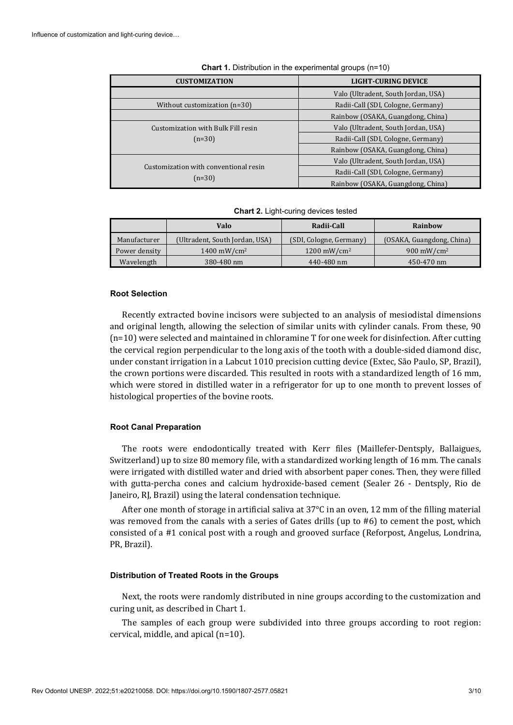| <b>CUSTOMIZATION</b>                              | <b>LIGHT-CURING DEVICE</b>          |  |  |
|---------------------------------------------------|-------------------------------------|--|--|
|                                                   | Valo (Ultradent, South Jordan, USA) |  |  |
| Without customization $(n=30)$                    | Radii-Call (SDI, Cologne, Germany)  |  |  |
|                                                   | Rainbow (OSAKA, Guangdong, China)   |  |  |
| Customization with Bulk Fill resin                | Valo (Ultradent, South Jordan, USA) |  |  |
| $(n=30)$                                          | Radii-Call (SDI, Cologne, Germany)  |  |  |
|                                                   | Rainbow (OSAKA, Guangdong, China)   |  |  |
| Customization with conventional resin<br>$(n=30)$ | Valo (Ultradent, South Jordan, USA) |  |  |
|                                                   | Radii-Call (SDI, Cologne, Germany)  |  |  |
|                                                   | Rainbow (OSAKA, Guangdong, China)   |  |  |

**Chart 1.** Distribution in the experimental groups (n=10)

|  |  |  | Chart 2. Light-curing devices tested |  |
|--|--|--|--------------------------------------|--|
|--|--|--|--------------------------------------|--|

|               | Valo                           | Radii-Call              | Rainbow                   |  |
|---------------|--------------------------------|-------------------------|---------------------------|--|
| Manufacturer  | (Ultradent, South Jordan, USA) | (SDI, Cologne, Germany) | (OSAKA, Guangdong, China) |  |
| Power density | $1400 \text{ mW/cm}^2$         | $1200 \text{ mW/cm}^2$  | $900 \text{ mW/cm}^2$     |  |
| Wavelength    | 380-480 nm                     | 440-480 nm              | 450-470 nm                |  |

#### **Root Selection**

Recently extracted bovine incisors were subjected to an analysis of mesiodistal dimensions and original length, allowing the selection of similar units with cylinder canals. From these, 90 (n=10) were selected and maintained in chloramine T for one week for disinfection. After cutting the cervical region perpendicular to the long axis of the tooth with a double-sided diamond disc, under constant irrigation in a Labcut 1010 precision cutting device (Extec, São Paulo, SP, Brazil), the crown portions were discarded. This resulted in roots with a standardized length of 16 mm, which were stored in distilled water in a refrigerator for up to one month to prevent losses of histological properties of the bovine roots.

#### **Root Canal Preparation**

The roots were endodontically treated with Kerr files (Maillefer-Dentsply, Ballaigues, Switzerland) up to size 80 memory file, with a standardized working length of 16 mm. The canals were irrigated with distilled water and dried with absorbent paper cones. Then, they were filled with gutta-percha cones and calcium hydroxide-based cement (Sealer 26 - Dentsply, Rio de Janeiro, RJ, Brazil) using the lateral condensation technique.

After one month of storage in artificial saliva at 37°C in an oven, 12 mm of the filling material was removed from the canals with a series of Gates drills (up to #6) to cement the post, which consisted of a #1 conical post with a rough and grooved surface (Reforpost, Angelus, Londrina, PR, Brazil).

#### **Distribution of Treated Roots in the Groups**

Next, the roots were randomly distributed in nine groups according to the customization and curing unit, as described in Chart 1.

The samples of each group were subdivided into three groups according to root region: cervical, middle, and apical (n=10).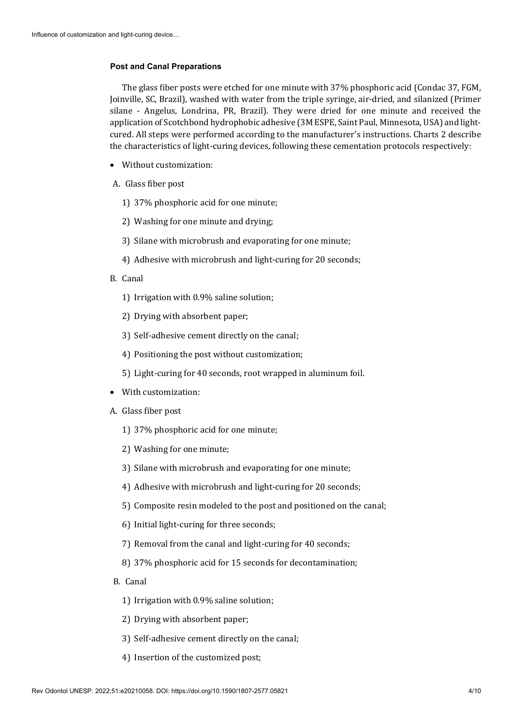## **Post and Canal Preparations**

The glass fiber posts were etched for one minute with 37% phosphoric acid (Condac 37, FGM, Joinville, SC, Brazil), washed with water from the triple syringe, air-dried, and silanized (Primer silane - Angelus, Londrina, PR, Brazil). They were dried for one minute and received the application of Scotchbond hydrophobic adhesive (3M ESPE, Saint Paul, Minnesota, USA) and lightcured. All steps were performed according to the manufacturer's instructions. Charts 2 describe the characteristics of light-curing devices, following these cementation protocols respectively:

- Without customization:
- A. Glass fiber post
	- 1) 37% phosphoric acid for one minute;
	- 2) Washing for one minute and drying;
	- 3) Silane with microbrush and evaporating for one minute;
	- 4) Adhesive with microbrush and light-curing for 20 seconds;
- B. Canal
	- 1) Irrigation with 0.9% saline solution;
	- 2) Drying with absorbent paper;
	- 3) Self-adhesive cement directly on the canal;
	- 4) Positioning the post without customization;
	- 5) Light-curing for 40 seconds, root wrapped in aluminum foil.
- With customization:
- A. Glass fiber post
	- 1) 37% phosphoric acid for one minute;
	- 2) Washing for one minute;
	- 3) Silane with microbrush and evaporating for one minute;
	- 4) Adhesive with microbrush and light-curing for 20 seconds;
	- 5) Composite resin modeled to the post and positioned on the canal;
	- 6) Initial light-curing for three seconds;
	- 7) Removal from the canal and light-curing for 40 seconds;
	- 8) 37% phosphoric acid for 15 seconds for decontamination;
- B. Canal
	- 1) Irrigation with 0.9% saline solution;
	- 2) Drying with absorbent paper;
	- 3) Self-adhesive cement directly on the canal;
	- 4) Insertion of the customized post;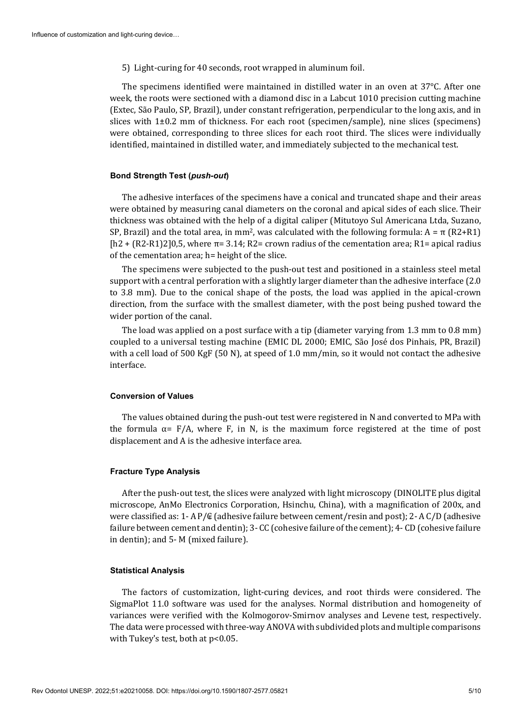5) Light-curing for 40 seconds, root wrapped in aluminum foil.

The specimens identified were maintained in distilled water in an oven at 37°C. After one week, the roots were sectioned with a diamond disc in a Labcut 1010 precision cutting machine (Extec, São Paulo, SP, Brazil), under constant refrigeration, perpendicular to the long axis, and in slices with 1±0.2 mm of thickness. For each root (specimen/sample), nine slices (specimens) were obtained, corresponding to three slices for each root third. The slices were individually identified, maintained in distilled water, and immediately subjected to the mechanical test.

#### **Bond Strength Test (***push-out***)**

The adhesive interfaces of the specimens have a conical and truncated shape and their areas were obtained by measuring canal diameters on the coronal and apical sides of each slice. Their thickness was obtained with the help of a digital caliper (Mitutoyo Sul Americana Ltda, Suzano, SP, Brazil) and the total area, in mm<sup>2</sup>, was calculated with the following formula:  $A = \pi (R2+R1)$  $[h2 + (R2-R1)2]0,5$ , where  $\pi$ = 3.14; R2= crown radius of the cementation area; R1= apical radius of the cementation area; h= height of the slice.

The specimens were subjected to the push-out test and positioned in a stainless steel metal support with a central perforation with a slightly larger diameter than the adhesive interface (2.0 to 3.8 mm). Due to the conical shape of the posts, the load was applied in the apical-crown direction, from the surface with the smallest diameter, with the post being pushed toward the wider portion of the canal.

The load was applied on a post surface with a tip (diameter varying from 1.3 mm to 0.8 mm) coupled to a universal testing machine (EMIC DL 2000; EMIC, São José dos Pinhais, PR, Brazil) with a cell load of 500 KgF (50 N), at speed of 1.0 mm/min, so it would not contact the adhesive interface.

#### **Conversion of Values**

The values obtained during the push-out test were registered in N and converted to MPa with the formula  $\alpha$ = F/A, where F, in N, is the maximum force registered at the time of post displacement and A is the adhesive interface area.

## **Fracture Type Analysis**

After the push-out test, the slices were analyzed with light microscopy (DINOLITE plus digital microscope, AnMo Electronics Corporation, Hsinchu, China), with a magnification of 200x, and were classified as: 1- A P/ $\mathcal{C}$  (adhesive failure between cement/resin and post); 2- A C/D (adhesive failure between cement and dentin); 3- CC (cohesive failure of the cement); 4- CD (cohesive failure in dentin); and 5- M (mixed failure).

#### **Statistical Analysis**

The factors of customization, light-curing devices, and root thirds were considered. The SigmaPlot 11.0 software was used for the analyses. Normal distribution and homogeneity of variances were verified with the Kolmogorov-Smirnov analyses and Levene test, respectively. The data were processed with three-way ANOVA with subdivided plots and multiple comparisons with Tukey's test, both at p<0.05.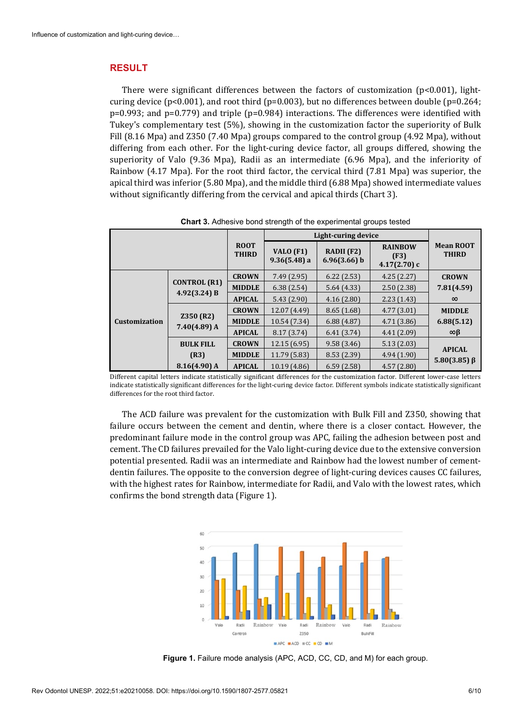## **RESULT**

There were significant differences between the factors of customization  $(p<0.001)$ , lightcuring device (p<0.001), and root third (p=0.003), but no differences between double (p=0.264; p=0.993; and p=0.779) and triple (p=0.984) interactions. The differences were identified with Tukey's complementary test (5%), showing in the customization factor the superiority of Bulk Fill (8.16 Mpa) and Z350 (7.40 Mpa) groups compared to the control group (4.92 Mpa), without differing from each other. For the light-curing device factor, all groups differed, showing the superiority of Valo (9.36 Mpa), Radii as an intermediate (6.96 Mpa), and the inferiority of Rainbow (4.17 Mpa). For the root third factor, the cervical third (7.81 Mpa) was superior, the apical third was inferior (5.80 Mpa), and the middle third (6.88 Mpa) showed intermediate values without significantly differing from the cervical and apical thirds (Chart 3).

|               |                                     |                             | Light-curing device         |                              |                                          |                                  |
|---------------|-------------------------------------|-----------------------------|-----------------------------|------------------------------|------------------------------------------|----------------------------------|
|               |                                     | <b>ROOT</b><br><b>THIRD</b> | VALO (F1)<br>$9.36(5.48)$ a | RADII (F2)<br>$6.96(3.66)$ b | <b>RAINBOW</b><br>(F3)<br>$4.17(2.70)$ c | <b>Mean ROOT</b><br><b>THIRD</b> |
| Customization | <b>CONTROL (R1)</b><br>4.92(3.24) B | <b>CROWN</b>                | 7.49(2.95)                  | 6.22(2.53)                   | 4.25(2.27)                               | <b>CROWN</b>                     |
|               |                                     | <b>MIDDLE</b>               | 6.38(2.54)                  | 5.64(4.33)                   | 2.50(2.38)                               | 7.81(4.59)                       |
|               |                                     | <b>APICAL</b>               | 5.43(2.90)                  | 4.16(2.80)                   | 2.23(1.43)                               | $\infty$                         |
|               | <b>Z350 (R2)</b><br>$7.40(4.89)$ A  | <b>CROWN</b>                | 12.07 (4.49)                | 8.65(1.68)                   | 4.77(3.01)                               | <b>MIDDLE</b>                    |
|               |                                     | <b>MIDDLE</b>               | 10.54 (7.34)                | 6.88(4.87)                   | 4.71(3.86)                               | 6.88(5.12)                       |
|               |                                     | <b>APICAL</b>               | 8.17(3.74)                  | 6.41(3.74)                   | 4.41(2.09)                               | ∞β                               |
|               | <b>BULK FILL</b>                    | <b>CROWN</b>                | 12.15 (6.95)                | 9.58(3.46)                   | 5.13(2.03)                               | <b>APICAL</b>                    |
|               | (R3)                                | <b>MIDDLE</b>               | 11.79 (5.83)                | 8.53(2.39)                   | 4.94(1.90)                               |                                  |
|               | $8.16(4.90)$ A                      | <b>APICAL</b>               | 10.19 (4.86)                | 6.59(2.58)                   | 4.57(2.80)                               | $5.80(3.85) \beta$               |

**Chart 3.** Adhesive bond strength of the experimental groups tested

Different capital letters indicate statistically significant differences for the customization factor. Different lower-case letters indicate statistically significant differences for the light-curing device factor. Different symbols indicate statistically significant differences for the root third factor.

The ACD failure was prevalent for the customization with Bulk Fill and Z350, showing that failure occurs between the cement and dentin, where there is a closer contact. However, the predominant failure mode in the control group was APC, failing the adhesion between post and cement. The CD failures prevailed for the Valo light-curing device due to the extensive conversion potential presented. Radii was an intermediate and Rainbow had the lowest number of cementdentin failures. The opposite to the conversion degree of light-curing devices causes CC failures, with the highest rates for Rainbow, intermediate for Radii, and Valo with the lowest rates, which confirms the bond strength data (Figure 1).



**Figure 1.** Failure mode analysis (APC, ACD, CC, CD, and M) for each group.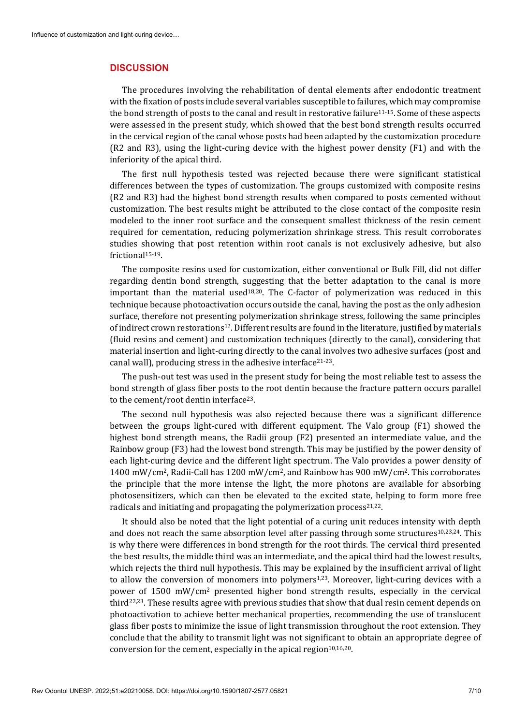#### **DISCUSSION**

The procedures involving the rehabilitation of dental elements after endodontic treatment with the fixation of posts include several variables susceptible to failures, which may compromise the bond strength of posts to the canal and result in restorative failure<sup>11-15</sup>. Some of these aspects were assessed in the present study, which showed that the best bond strength results occurred in the cervical region of the canal whose posts had been adapted by the customization procedure (R2 and R3), using the light-curing device with the highest power density (F1) and with the inferiority of the apical third.

The first null hypothesis tested was rejected because there were significant statistical differences between the types of customization. The groups customized with composite resins (R2 and R3) had the highest bond strength results when compared to posts cemented without customization. The best results might be attributed to the close contact of the composite resin modeled to the inner root surface and the consequent smallest thickness of the resin cement required for cementation, reducing polymerization shrinkage stress. This result corroborates studies showing that post retention within root canals is not exclusively adhesive, but also frictional<sup>15-19</sup>.

The composite resins used for customization, either conventional or Bulk Fill, did not differ regarding dentin bond strength, suggesting that the better adaptation to the canal is more important than the material used18,20. The C-factor of polymerization was reduced in this technique because photoactivation occurs outside the canal, having the post as the only adhesion surface, therefore not presenting polymerization shrinkage stress, following the same principles of indirect crown restorations12. Different results are found in the literature, justified by materials (fluid resins and cement) and customization techniques (directly to the canal), considering that material insertion and light-curing directly to the canal involves two adhesive surfaces (post and canal wall), producing stress in the adhesive interface21-23.

The push-out test was used in the present study for being the most reliable test to assess the bond strength of glass fiber posts to the root dentin because the fracture pattern occurs parallel to the cement/root dentin interface23.

The second null hypothesis was also rejected because there was a significant difference between the groups light-cured with different equipment. The Valo group (F1) showed the highest bond strength means, the Radii group (F2) presented an intermediate value, and the Rainbow group (F3) had the lowest bond strength. This may be justified by the power density of each light-curing device and the different light spectrum. The Valo provides a power density of 1400 mW/cm2, Radii-Call has 1200 mW/cm2, and Rainbow has 900 mW/cm2. This corroborates the principle that the more intense the light, the more photons are available for absorbing photosensitizers, which can then be elevated to the excited state, helping to form more free radicals and initiating and propagating the polymerization process $21,22$ .

It should also be noted that the light potential of a curing unit reduces intensity with depth and does not reach the same absorption level after passing through some structures<sup>10,23,24</sup>. This is why there were differences in bond strength for the root thirds. The cervical third presented the best results, the middle third was an intermediate, and the apical third had the lowest results, which rejects the third null hypothesis. This may be explained by the insufficient arrival of light to allow the conversion of monomers into polymers<sup>1,23</sup>. Moreover, light-curing devices with a power of 1500 mW/cm2 presented higher bond strength results, especially in the cervical third22,23. These results agree with previous studies that show that dual resin cement depends on photoactivation to achieve better mechanical properties, recommending the use of translucent glass fiber posts to minimize the issue of light transmission throughout the root extension. They conclude that the ability to transmit light was not significant to obtain an appropriate degree of conversion for the cement, especially in the apical region $10,16,20$ .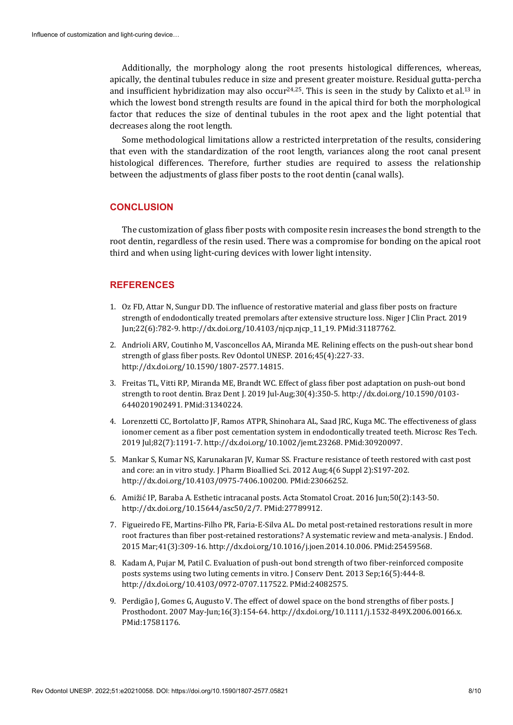Additionally, the morphology along the root presents histological differences, whereas, apically, the dentinal tubules reduce in size and present greater moisture. Residual gutta-percha and insufficient hybridization may also occur<sup>24,25</sup>. This is seen in the study by Calixto et al.<sup>13</sup> in which the lowest bond strength results are found in the apical third for both the morphological factor that reduces the size of dentinal tubules in the root apex and the light potential that decreases along the root length.

Some methodological limitations allow a restricted interpretation of the results, considering that even with the standardization of the root length, variances along the root canal present histological differences. Therefore, further studies are required to assess the relationship between the adjustments of glass fiber posts to the root dentin (canal walls).

# **CONCLUSION**

The customization of glass fiber posts with composite resin increases the bond strength to the root dentin, regardless of the resin used. There was a compromise for bonding on the apical root third and when using light-curing devices with lower light intensity.

# **REFERENCES**

- 1. Oz FD, Attar N, Sungur DD. The influence of restorative material and glass fiber posts on fracture strength of endodontically treated premolars after extensive structure loss. Niger J Clin Pract. 2019 Jun;22(6):782-9[. http://dx.doi.org/10.4103/njcp.njcp\\_11\\_19.](https://doi.org/10.4103/njcp.njcp_11_19) [PMid:31187762.](https://www.ncbi.nlm.nih.gov/entrez/query.fcgi?cmd=Retrieve&db=PubMed&list_uids=31187762&dopt=Abstract)
- 2. Andrioli ARV, Coutinho M, Vasconcellos AA, Miranda ME. Relining effects on the push-out shear bond strength of glass fiber posts. Rev Odontol UNESP. 2016;45(4):227-33. [http://dx.doi.org/10.1590/1807-2577.14815.](https://doi.org/10.1590/1807-2577.14815)
- 3. Freitas TL, Vitti RP, Miranda ME, Brandt WC. Effect of glass fiber post adaptation on push-out bond strength to root dentin. Braz Dent J. 2019 Jul-Aug;30(4):350-5[. http://dx.doi.org/10.1590/0103-](https://doi.org/10.1590/0103-6440201902491) [6440201902491.](https://doi.org/10.1590/0103-6440201902491) [PMid:31340224.](https://www.ncbi.nlm.nih.gov/entrez/query.fcgi?cmd=Retrieve&db=PubMed&list_uids=31340224&dopt=Abstract)
- 4. Lorenzetti CC, Bortolatto JF, Ramos ATPR, Shinohara AL, Saad JRC, Kuga MC. The effectiveness of glass ionomer cement as a fiber post cementation system in endodontically treated teeth. Microsc Res Tech. 2019 Jul;82(7):1191-7[. http://dx.doi.org/10.1002/jemt.23268.](https://doi.org/10.1002/jemt.23268) [PMid:30920097.](https://www.ncbi.nlm.nih.gov/entrez/query.fcgi?cmd=Retrieve&db=PubMed&list_uids=30920097&dopt=Abstract)
- 5. Mankar S, Kumar NS, Karunakaran JV, Kumar SS. Fracture resistance of teeth restored with cast post and core: an in vitro study. J Pharm Bioallied Sci. 2012 Aug;4(6 Suppl 2):S197-202. [http://dx.doi.org/10.4103/0975-7406.100200.](https://doi.org/10.4103/0975-7406.100200) [PMid:23066252.](https://www.ncbi.nlm.nih.gov/entrez/query.fcgi?cmd=Retrieve&db=PubMed&list_uids=23066252&dopt=Abstract)
- 6. Amižić IP, Baraba A. Esthetic intracanal posts. Acta Stomatol Croat. 2016 Jun;50(2):143-50. [http://dx.doi.org/10.15644/asc50/2/7.](https://doi.org/10.15644/asc50/2/7) [PMid:27789912.](https://www.ncbi.nlm.nih.gov/entrez/query.fcgi?cmd=Retrieve&db=PubMed&list_uids=27789912&dopt=Abstract)
- 7. Figueiredo FE, Martins-Filho PR, Faria-E-Silva AL. Do metal post-retained restorations result in more root fractures than fiber post-retained restorations? A systematic review and meta-analysis. J Endod. 2015 Mar;41(3):309-16[. http://dx.doi.org/10.1016/j.joen.2014.10.006.](https://doi.org/10.1016/j.joen.2014.10.006) [PMid:25459568.](https://www.ncbi.nlm.nih.gov/entrez/query.fcgi?cmd=Retrieve&db=PubMed&list_uids=25459568&dopt=Abstract)
- 8. Kadam A, Pujar M, Patil C. Evaluation of push-out bond strength of two fiber-reinforced composite posts systems using two luting cements in vitro. J Conserv Dent. 2013 Sep;16(5):444-8. [http://dx.doi.org/10.4103/0972-0707.117522.](https://doi.org/10.4103/0972-0707.117522) [PMid:24082575.](https://www.ncbi.nlm.nih.gov/entrez/query.fcgi?cmd=Retrieve&db=PubMed&list_uids=24082575&dopt=Abstract)
- 9. Perdigão J, Gomes G, Augusto V. The effect of dowel space on the bond strengths of fiber posts. J Prosthodont. 2007 May-Jun;16(3):154-64[. http://dx.doi.org/10.1111/j.1532-849X.2006.00166.x.](https://doi.org/10.1111/j.1532-849X.2006.00166.x) [PMid:17581176.](https://www.ncbi.nlm.nih.gov/entrez/query.fcgi?cmd=Retrieve&db=PubMed&list_uids=17581176&dopt=Abstract)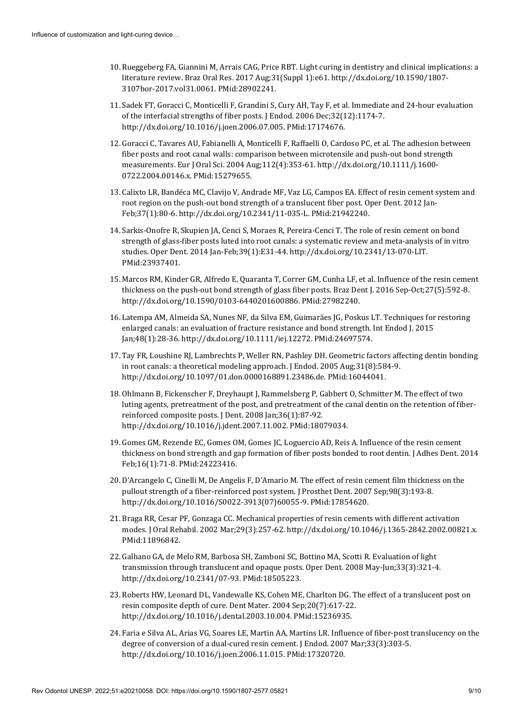- 10. Rueggeberg FA, Giannini M, Arrais CAG, Price RBT. Light curing in dentistry and clinical implications: a literature review. Braz Oral Res. 2017 Aug;31(Suppl 1):e61. [http://dx.doi.org/10.1590/1807-](https://doi.org/10.1590/1807-3107bor-2017.vol31.0061) [3107bor-2017.vol31.0061.](https://doi.org/10.1590/1807-3107bor-2017.vol31.0061) [PMid:28902241.](https://www.ncbi.nlm.nih.gov/entrez/query.fcgi?cmd=Retrieve&db=PubMed&list_uids=28902241&dopt=Abstract)
- 11. Sadek FT, Goracci C, Monticelli F, Grandini S, Cury AH, Tay F, et al. Immediate and 24-hour evaluation of the interfacial strengths of fiber posts. J Endod. 2006 Dec;32(12):1174-7. [http://dx.doi.org/10.1016/j.joen.2006.07.005.](https://doi.org/10.1016/j.joen.2006.07.005) [PMid:17174676.](https://www.ncbi.nlm.nih.gov/entrez/query.fcgi?cmd=Retrieve&db=PubMed&list_uids=17174676&dopt=Abstract)
- 12. Goracci C, Tavares AU, Fabianelli A, Monticelli F, Raffaelli O, Cardoso PC, et al. The adhesion between fiber posts and root canal walls: comparison between microtensile and push-out bond strength measurements. Eur J Oral Sci. 2004 Aug;112(4):353-61[. http://dx.doi.org/10.1111/j.1600-](https://doi.org/10.1111/j.1600-0722.2004.00146.x) [0722.2004.00146.x.](https://doi.org/10.1111/j.1600-0722.2004.00146.x) [PMid:15279655.](https://www.ncbi.nlm.nih.gov/entrez/query.fcgi?cmd=Retrieve&db=PubMed&list_uids=15279655&dopt=Abstract)
- 13. Calixto LR, Bandéca MC, Clavijo V, Andrade MF, Vaz LG, Campos EA. Effect of resin cement system and root region on the push-out bond strength of a translucent fiber post. Oper Dent. 2012 Jan-Feb;37(1):80-6[. http://dx.doi.org/10.2341/11-035-L.](https://doi.org/10.2341/11-035-L) [PMid:21942240.](https://www.ncbi.nlm.nih.gov/entrez/query.fcgi?cmd=Retrieve&db=PubMed&list_uids=21942240&dopt=Abstract)
- 14. Sarkis-Onofre R, Skupien JA, Cenci S, Moraes R, Pereira-Cenci T. The role of resin cement on bond strength of glass-fiber posts luted into root canals: a systematic review and meta-analy[sis of in vitro](https://www.ncbi.nlm.nih.gov/entrez/query.fcgi?cmd=Retrieve&db=PubMed&list_uids=23937401&dopt=Abstract)  studies. Oper Dent. 2014 Jan-Feb;39(1):E31-44[. http://dx.doi.org/10.2341/13-070-LIT.](https://doi.org/10.2341/13-070-LIT) [PMid:23937401.](https://www.ncbi.nlm.nih.gov/entrez/query.fcgi?cmd=Retrieve&db=PubMed&list_uids=23937401&dopt=Abstract)
- 15. Marcos RM, Kinder GR, Alfredo E, Quaranta T, Correr GM, Cunha LF, et al. Influence of the resin cement thickness on the push-out bond strength of glass fiber posts. Braz Dent J. 2016 Sep-Oct;27(5):592-8. [http://dx.doi.org/10.1590/0103-6440201600886.](https://doi.org/10.1590/0103-6440201600886) [PMid:27982240.](https://www.ncbi.nlm.nih.gov/entrez/query.fcgi?cmd=Retrieve&db=PubMed&list_uids=27982240&dopt=Abstract)
- 16. Latempa AM, Almeida SA, Nunes NF, da Silva EM, Guimarães JG, Poskus LT. Techniques for restoring enlarged canals: an evaluation of fracture resistance and bond strength. Int Endod J. 2015 Jan;48(1):28-36. [http://dx.doi.org/10.1111/iej.12272.](https://doi.org/10.1111/iej.12272) [PMid:24697574.](https://www.ncbi.nlm.nih.gov/entrez/query.fcgi?cmd=Retrieve&db=PubMed&list_uids=24697574&dopt=Abstract)
- 17. Tay FR, Loushine RJ, Lambrechts P, Weller RN, Pashley DH. Geometric factors affecting dentin bonding in root canals: a theoretical modeling approach. J Endod. 2005 Aug;31(8):584-9. [http://dx.doi.org/10.1097/01.don.0000168891.23486.de.](https://doi.org/10.1097/01.don.0000168891.23486.de) [PMid:16044041.](https://www.ncbi.nlm.nih.gov/entrez/query.fcgi?cmd=Retrieve&db=PubMed&list_uids=16044041&dopt=Abstract)
- 18. Ohlmann B, Fickenscher F, Dreyhaupt J, Rammelsberg P, Gabbert O, Schmitter M. The effect of two luting agents, pretreatment of the post, and pretreatment of the canal dentin on the retention of fiberreinforced composite posts. J Dent. 2008 Jan;36(1):87-92. [http://dx.doi.org/10.1016/j.jdent.2007.11.002.](https://doi.org/10.1016/j.jdent.2007.11.002) [PMid:18079034.](https://www.ncbi.nlm.nih.gov/entrez/query.fcgi?cmd=Retrieve&db=PubMed&list_uids=18079034&dopt=Abstract)
- 19. Gomes GM, Rezende EC, Gomes OM, Gomes JC, Loguercio AD, Reis A. Influence of the resin cement thickness on bond strength and gap formation of fiber posts bonded to root dentin. J Adhes Dent. 2014 Feb;16(1):71-8. [PMid:24223416.](https://www.ncbi.nlm.nih.gov/entrez/query.fcgi?cmd=Retrieve&db=PubMed&list_uids=24223416&dopt=Abstract)
- 20. D'Arcangelo C, Cinelli M, De Angelis F, D'Amario M. The effect of resin cement film thickness on the pullout strength of a fiber-reinforced post system. J Prosthet Dent. 2007 Sep;98(3):193-8. [http://dx.doi.org/10.1016/S0022-3913\(07\)60055-9.](https://doi.org/10.1016/S0022-3913(07)60055-9) [PMid:17854620.](https://www.ncbi.nlm.nih.gov/entrez/query.fcgi?cmd=Retrieve&db=PubMed&list_uids=17854620&dopt=Abstract)
- 21. Braga RR, Cesar PF, Gonzaga CC. Mechanical properties of resin cements with different activation modes. J Oral Rehabil. 2002 Mar;29(3):257-62[. http://dx.doi.org/10.1046/j.1365-2842.2002.00821.x.](https://doi.org/10.1046/j.1365-2842.2002.00821.x) [PMid:11896842.](https://www.ncbi.nlm.nih.gov/entrez/query.fcgi?cmd=Retrieve&db=PubMed&list_uids=11896842&dopt=Abstract)
- 22. Galhano GA, de Melo RM, Barbosa SH, Zamboni SC, Bottino MA, Scotti R. Evaluation of light transmission through translucent and opaque posts. Oper Dent. 2008 May-Jun;33(3):321-4. [http://dx.doi.org/10.2341/07-93.](https://doi.org/10.2341/07-93) [PMid:18505223.](https://www.ncbi.nlm.nih.gov/entrez/query.fcgi?cmd=Retrieve&db=PubMed&list_uids=18505223&dopt=Abstract)
- 23. Roberts HW, Leonard DL, Vandewalle KS, Cohen ME, Charlton DG. The effect of a translucent post on resin composite depth of cure. Dent Mater. 2004 Sep;20(7):617-22. [http://dx.doi.org/10.1016/j.dental.2003.10.004.](https://doi.org/10.1016/j.dental.2003.10.004) [PMid:15236935.](https://www.ncbi.nlm.nih.gov/entrez/query.fcgi?cmd=Retrieve&db=PubMed&list_uids=15236935&dopt=Abstract)
- 24. Faria e Silva AL, Arias VG, Soares LE, Martin AA, Martins LR. Influence of fiber-post translucency on the degree of conversion of a dual-cured resin cement. J Endod. 2007 Mar;33(3):303-5. [http://dx.doi.org/10.1016/j.joen.2006.11.015.](https://doi.org/10.1016/j.joen.2006.11.015) [PMid:17320720.](https://www.ncbi.nlm.nih.gov/entrez/query.fcgi?cmd=Retrieve&db=PubMed&list_uids=17320720&dopt=Abstract)